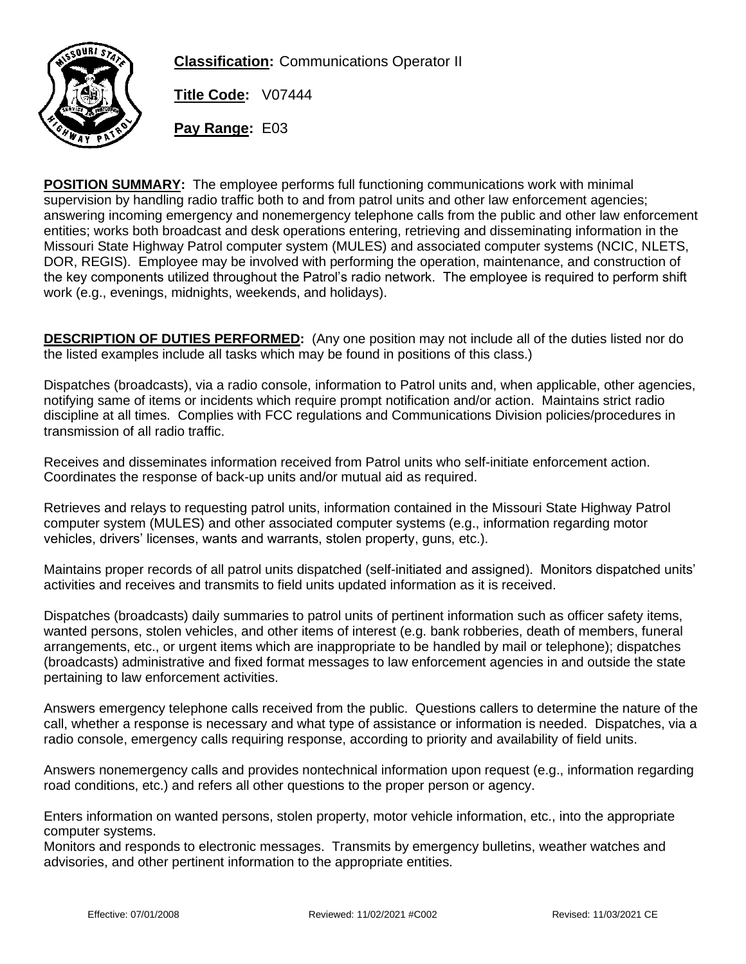

**Classification:** Communications Operator II

**Title Code:** V07444

**Pay Range:** E03

**POSITION SUMMARY:** The employee performs full functioning communications work with minimal supervision by handling radio traffic both to and from patrol units and other law enforcement agencies; answering incoming emergency and nonemergency telephone calls from the public and other law enforcement entities; works both broadcast and desk operations entering, retrieving and disseminating information in the Missouri State Highway Patrol computer system (MULES) and associated computer systems (NCIC, NLETS, DOR, REGIS). Employee may be involved with performing the operation, maintenance, and construction of the key components utilized throughout the Patrol's radio network. The employee is required to perform shift work (e.g., evenings, midnights, weekends, and holidays).

**DESCRIPTION OF DUTIES PERFORMED:** (Any one position may not include all of the duties listed nor do the listed examples include all tasks which may be found in positions of this class.)

Dispatches (broadcasts), via a radio console, information to Patrol units and, when applicable, other agencies, notifying same of items or incidents which require prompt notification and/or action. Maintains strict radio discipline at all times. Complies with FCC regulations and Communications Division policies/procedures in transmission of all radio traffic.

Receives and disseminates information received from Patrol units who self-initiate enforcement action. Coordinates the response of back-up units and/or mutual aid as required.

Retrieves and relays to requesting patrol units, information contained in the Missouri State Highway Patrol computer system (MULES) and other associated computer systems (e.g., information regarding motor vehicles, drivers' licenses, wants and warrants, stolen property, guns, etc.).

Maintains proper records of all patrol units dispatched (self-initiated and assigned). Monitors dispatched units' activities and receives and transmits to field units updated information as it is received.

Dispatches (broadcasts) daily summaries to patrol units of pertinent information such as officer safety items, wanted persons, stolen vehicles, and other items of interest (e.g. bank robberies, death of members, funeral arrangements, etc., or urgent items which are inappropriate to be handled by mail or telephone); dispatches (broadcasts) administrative and fixed format messages to law enforcement agencies in and outside the state pertaining to law enforcement activities.

Answers emergency telephone calls received from the public. Questions callers to determine the nature of the call, whether a response is necessary and what type of assistance or information is needed. Dispatches, via a radio console, emergency calls requiring response, according to priority and availability of field units.

Answers nonemergency calls and provides nontechnical information upon request (e.g., information regarding road conditions, etc.) and refers all other questions to the proper person or agency.

Enters information on wanted persons, stolen property, motor vehicle information, etc., into the appropriate computer systems.

Monitors and responds to electronic messages. Transmits by emergency bulletins, weather watches and advisories, and other pertinent information to the appropriate entities.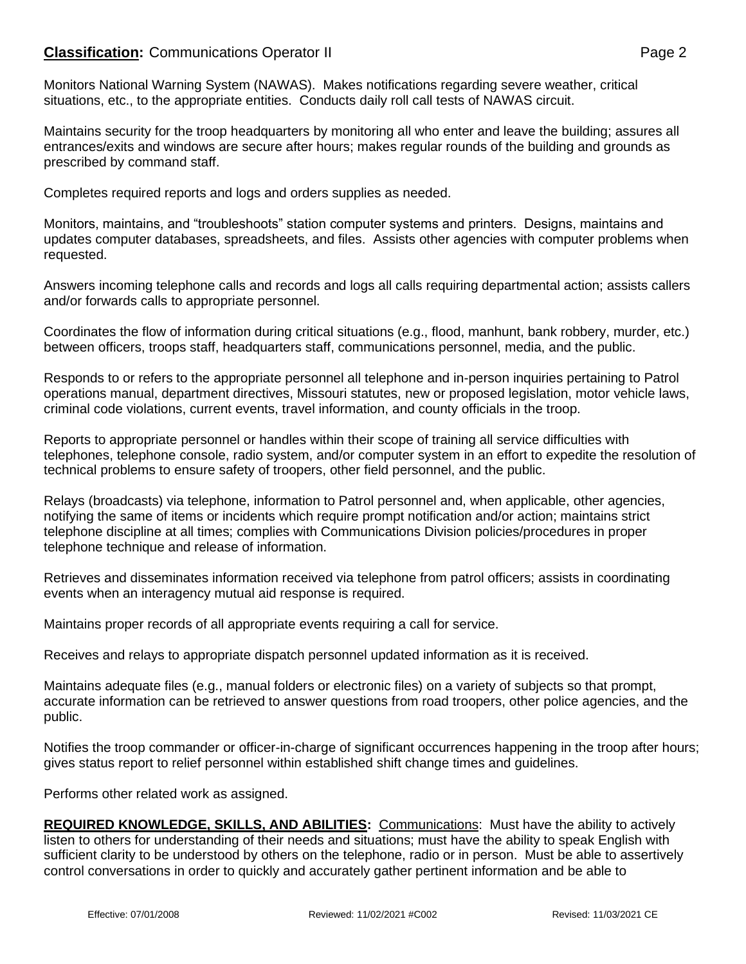# **Classification:** Communications Operator II **Classification:** Page 2

Monitors National Warning System (NAWAS). Makes notifications regarding severe weather, critical situations, etc., to the appropriate entities. Conducts daily roll call tests of NAWAS circuit.

Maintains security for the troop headquarters by monitoring all who enter and leave the building; assures all entrances/exits and windows are secure after hours; makes regular rounds of the building and grounds as prescribed by command staff.

Completes required reports and logs and orders supplies as needed.

Monitors, maintains, and "troubleshoots" station computer systems and printers. Designs, maintains and updates computer databases, spreadsheets, and files. Assists other agencies with computer problems when requested.

Answers incoming telephone calls and records and logs all calls requiring departmental action; assists callers and/or forwards calls to appropriate personnel.

Coordinates the flow of information during critical situations (e.g., flood, manhunt, bank robbery, murder, etc.) between officers, troops staff, headquarters staff, communications personnel, media, and the public.

Responds to or refers to the appropriate personnel all telephone and in-person inquiries pertaining to Patrol operations manual, department directives, Missouri statutes, new or proposed legislation, motor vehicle laws, criminal code violations, current events, travel information, and county officials in the troop.

Reports to appropriate personnel or handles within their scope of training all service difficulties with telephones, telephone console, radio system, and/or computer system in an effort to expedite the resolution of technical problems to ensure safety of troopers, other field personnel, and the public.

Relays (broadcasts) via telephone, information to Patrol personnel and, when applicable, other agencies, notifying the same of items or incidents which require prompt notification and/or action; maintains strict telephone discipline at all times; complies with Communications Division policies/procedures in proper telephone technique and release of information.

Retrieves and disseminates information received via telephone from patrol officers; assists in coordinating events when an interagency mutual aid response is required.

Maintains proper records of all appropriate events requiring a call for service.

Receives and relays to appropriate dispatch personnel updated information as it is received.

Maintains adequate files (e.g., manual folders or electronic files) on a variety of subjects so that prompt, accurate information can be retrieved to answer questions from road troopers, other police agencies, and the public.

Notifies the troop commander or officer-in-charge of significant occurrences happening in the troop after hours; gives status report to relief personnel within established shift change times and guidelines.

Performs other related work as assigned.

**REQUIRED KNOWLEDGE, SKILLS, AND ABILITIES:** Communications: Must have the ability to actively listen to others for understanding of their needs and situations; must have the ability to speak English with sufficient clarity to be understood by others on the telephone, radio or in person. Must be able to assertively control conversations in order to quickly and accurately gather pertinent information and be able to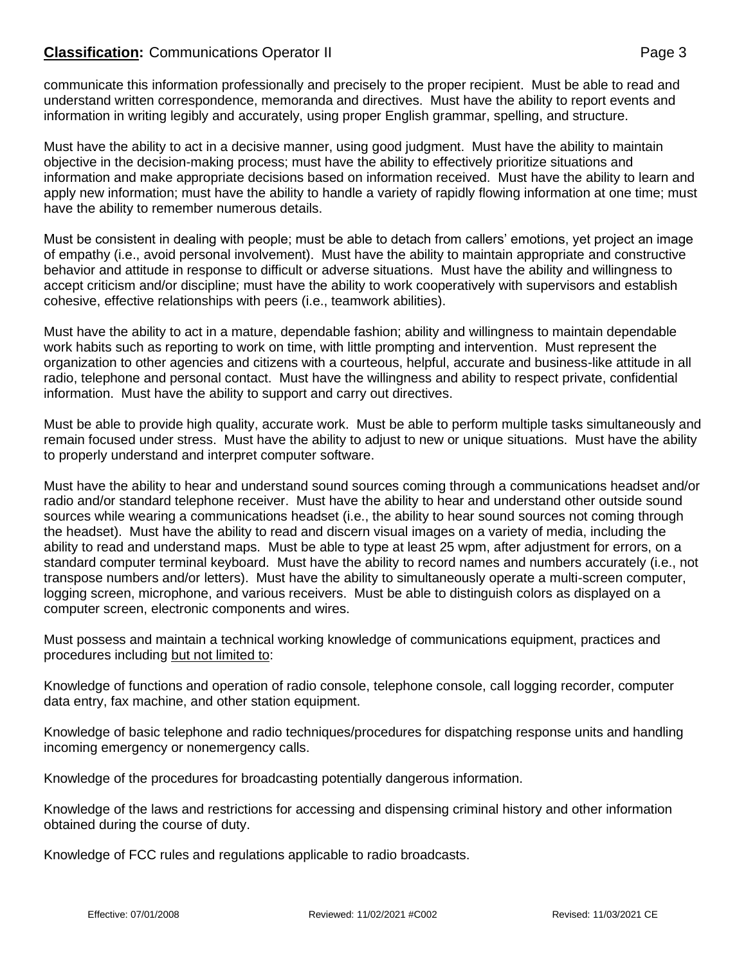# **Classification:** Communications Operator II **Classification:** Page 3

communicate this information professionally and precisely to the proper recipient. Must be able to read and understand written correspondence, memoranda and directives. Must have the ability to report events and information in writing legibly and accurately, using proper English grammar, spelling, and structure.

Must have the ability to act in a decisive manner, using good judgment. Must have the ability to maintain objective in the decision-making process; must have the ability to effectively prioritize situations and information and make appropriate decisions based on information received. Must have the ability to learn and apply new information; must have the ability to handle a variety of rapidly flowing information at one time; must have the ability to remember numerous details.

Must be consistent in dealing with people; must be able to detach from callers' emotions, yet project an image of empathy (i.e., avoid personal involvement). Must have the ability to maintain appropriate and constructive behavior and attitude in response to difficult or adverse situations. Must have the ability and willingness to accept criticism and/or discipline; must have the ability to work cooperatively with supervisors and establish cohesive, effective relationships with peers (i.e., teamwork abilities).

Must have the ability to act in a mature, dependable fashion; ability and willingness to maintain dependable work habits such as reporting to work on time, with little prompting and intervention. Must represent the organization to other agencies and citizens with a courteous, helpful, accurate and business-like attitude in all radio, telephone and personal contact. Must have the willingness and ability to respect private, confidential information. Must have the ability to support and carry out directives.

Must be able to provide high quality, accurate work. Must be able to perform multiple tasks simultaneously and remain focused under stress. Must have the ability to adjust to new or unique situations. Must have the ability to properly understand and interpret computer software.

Must have the ability to hear and understand sound sources coming through a communications headset and/or radio and/or standard telephone receiver. Must have the ability to hear and understand other outside sound sources while wearing a communications headset (i.e., the ability to hear sound sources not coming through the headset). Must have the ability to read and discern visual images on a variety of media, including the ability to read and understand maps. Must be able to type at least 25 wpm, after adjustment for errors, on a standard computer terminal keyboard. Must have the ability to record names and numbers accurately (i.e., not transpose numbers and/or letters). Must have the ability to simultaneously operate a multi-screen computer, logging screen, microphone, and various receivers. Must be able to distinguish colors as displayed on a computer screen, electronic components and wires.

Must possess and maintain a technical working knowledge of communications equipment, practices and procedures including but not limited to:

Knowledge of functions and operation of radio console, telephone console, call logging recorder, computer data entry, fax machine, and other station equipment.

Knowledge of basic telephone and radio techniques/procedures for dispatching response units and handling incoming emergency or nonemergency calls.

Knowledge of the procedures for broadcasting potentially dangerous information.

Knowledge of the laws and restrictions for accessing and dispensing criminal history and other information obtained during the course of duty.

Knowledge of FCC rules and regulations applicable to radio broadcasts.